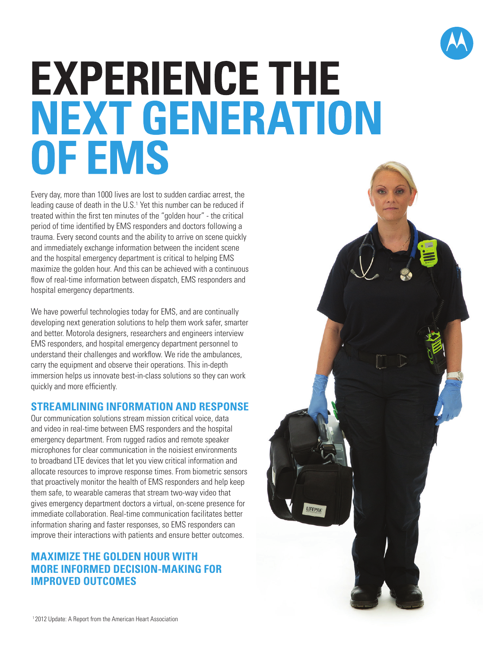

# **EXPERIENCE THE NEXT GENERATION OF EMS**

Every day, more than 1000 lives are lost to sudden cardiac arrest, the leading cause of death in the U.S.<sup>1</sup> Yet this number can be reduced if treated within the first ten minutes of the "golden hour" - the critical period of time identified by EMS responders and doctors following a trauma. Every second counts and the ability to arrive on scene quickly and immediately exchange information between the incident scene and the hospital emergency department is critical to helping EMS maximize the golden hour. And this can be achieved with a continuous flow of real-time information between dispatch, EMS responders and hospital emergency departments.

We have powerful technologies today for EMS, and are continually developing next generation solutions to help them work safer, smarter and better. Motorola designers, researchers and engineers interview EMS responders, and hospital emergency department personnel to understand their challenges and workflow. We ride the ambulances, carry the equipment and observe their operations. This in-depth immersion helps us innovate best-in-class solutions so they can work quickly and more efficiently.

### **STREAMLINING INFORMATION AND RESPONSE**

Our communication solutions stream mission critical voice, data and video in real-time between EMS responders and the hospital emergency department. From rugged radios and remote speaker microphones for clear communication in the noisiest environments to broadband LTE devices that let you view critical information and allocate resources to improve response times. From biometric sensors that proactively monitor the health of EMS responders and help keep them safe, to wearable cameras that stream two-way video that gives emergency department doctors a virtual, on-scene presence for immediate collaboration. Real-time communication facilitates better information sharing and faster responses, so EMS responders can improve their interactions with patients and ensure better outcomes.

## **MAXIMIZE THE GOLDEN HOUR WITH MORE INFORMED DECISION-MAKING FOR IMPROVED OUTCOMES**